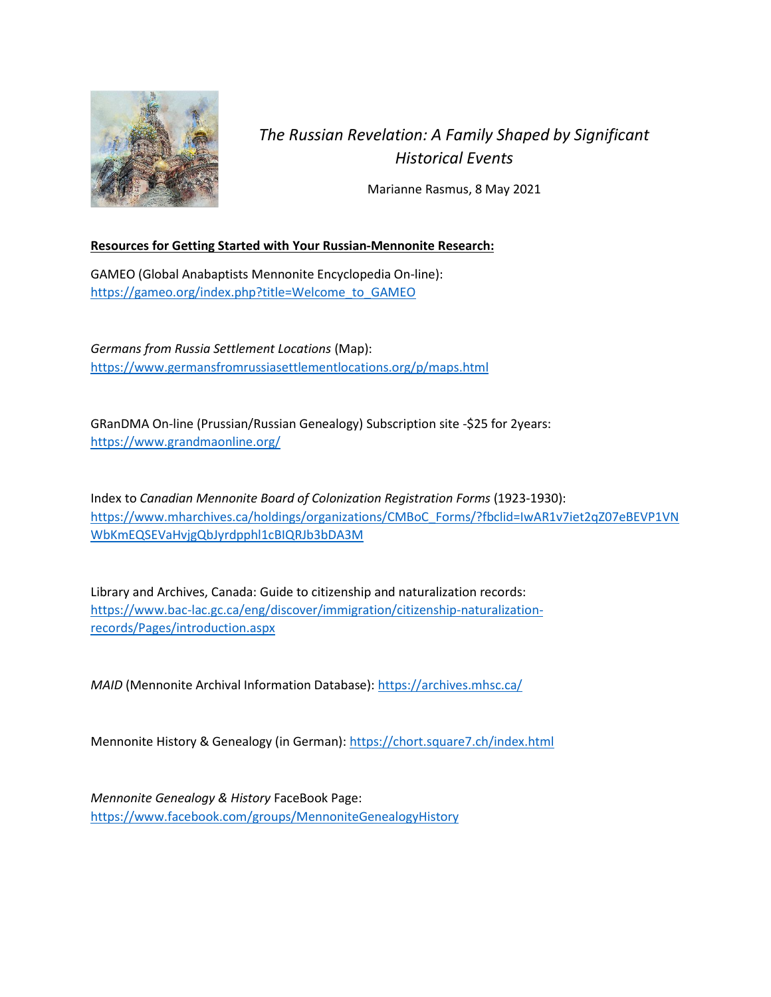

## *The Russian Revelation: A Family Shaped by Significant Historical Events*

Marianne Rasmus, 8 May 2021

## **Resources for Getting Started with Your Russian-Mennonite Research:**

GAMEO (Global Anabaptists Mennonite Encyclopedia On-line): [https://gameo.org/index.php?title=Welcome\\_to\\_GAMEO](https://gameo.org/index.php?title=Welcome_to_GAMEO)

*Germans from Russia Settlement Locations* (Map): <https://www.germansfromrussiasettlementlocations.org/p/maps.html>

GRanDMA On-line (Prussian/Russian Genealogy) Subscription site -\$25 for 2years: <https://www.grandmaonline.org/>

Index to *Canadian Mennonite Board of Colonization Registration Forms* (1923-1930): [https://www.mharchives.ca/holdings/organizations/CMBoC\\_Forms/?fbclid=IwAR1v7iet2qZ07eBEVP1VN](https://www.mharchives.ca/holdings/organizations/CMBoC_Forms/?fbclid=IwAR1v7iet2qZ07eBEVP1VNWbKmEQSEVaHvjgQbJyrdpphl1cBIQRJb3bDA3M) [WbKmEQSEVaHvjgQbJyrdpphl1cBIQRJb3bDA3M](https://www.mharchives.ca/holdings/organizations/CMBoC_Forms/?fbclid=IwAR1v7iet2qZ07eBEVP1VNWbKmEQSEVaHvjgQbJyrdpphl1cBIQRJb3bDA3M)

Library and Archives, Canada: Guide to citizenship and naturalization records: [https://www.bac-lac.gc.ca/eng/discover/immigration/citizenship-naturalization](https://www.bac-lac.gc.ca/eng/discover/immigration/citizenship-naturalization-records/Pages/introduction.aspx)[records/Pages/introduction.aspx](https://www.bac-lac.gc.ca/eng/discover/immigration/citizenship-naturalization-records/Pages/introduction.aspx)

*MAID* (Mennonite Archival Information Database):<https://archives.mhsc.ca/>

Mennonite History & Genealogy (in German): <https://chort.square7.ch/index.html>

*Mennonite Genealogy & History* FaceBook Page: <https://www.facebook.com/groups/MennoniteGenealogyHistory>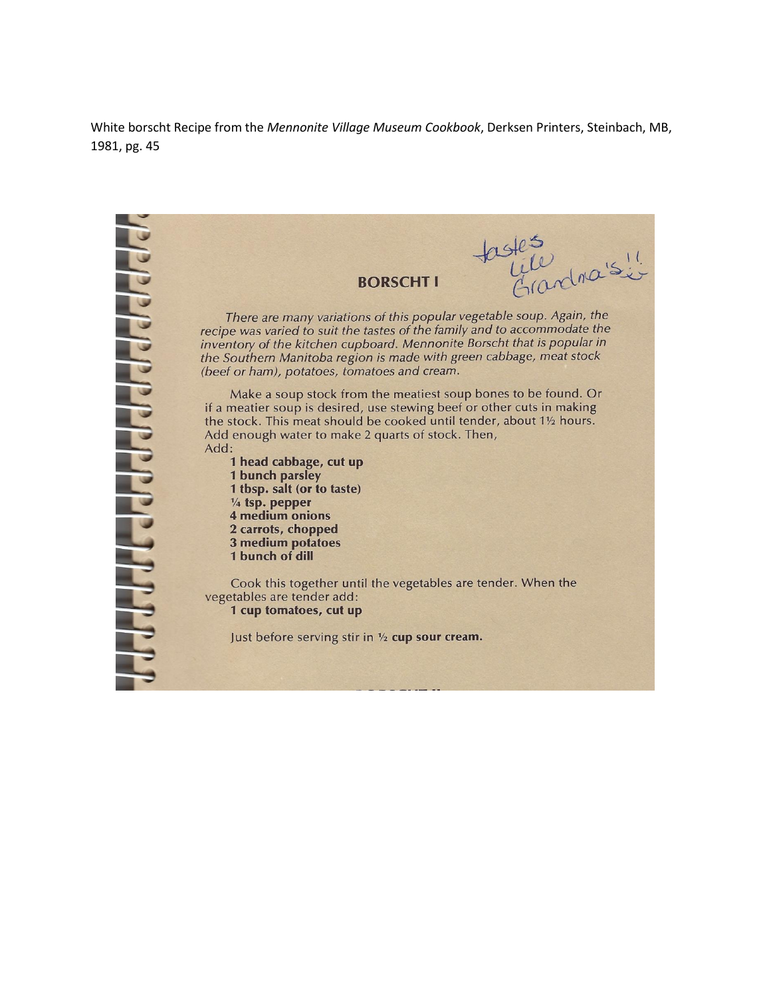White borscht Recipe from the *Mennonite Village Museum Cookbook*, Derksen Printers, Steinbach, MB, 1981, pg. 45

tastes<br>tile ciardinaisie **BORSCHT I** There are many variations of this popular vegetable soup. Again, the recipe was varied to suit the tastes of the family and to accommodate the inventory of the kitchen cupboard. Mennonite Borscht that is popular in the Southern Manitoba region is made with green cabbage, meat stock (beef or ham), potatoes, tomatoes and cream. Make a soup stock from the meatiest soup bones to be found. Or if a meatier soup is desired, use stewing beef or other cuts in making the stock. This meat should be cooked until tender, about 11/2 hours. Add enough water to make 2 quarts of stock. Then, Add: 1 head cabbage, cut up 1 bunch parsley 1 tbsp. salt (or to taste) 1/4 tsp. pepper 4 medium onions 2 carrots, chopped **3 medium potatoes** 1 bunch of dill Cook this together until the vegetables are tender. When the vegetables are tender add: 1 cup tomatoes, cut up Just before serving stir in 1/2 cup sour cream.